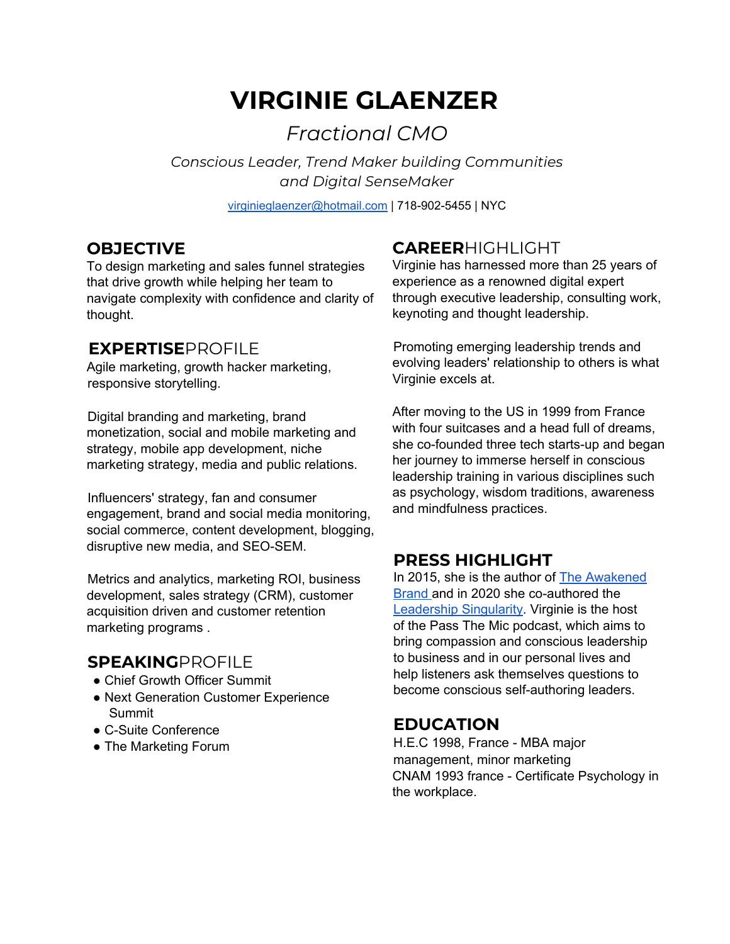# **VIRGINIE GLAENZER**

*Fractional CMO*

*Conscious Leader, Trend Maker building Communities and Digital SenseMaker*

virginieglaenzer@hotmail.com | 718-902-5455 | NYC

### **OBJECTIVE**

To design marketing and sales funnel strategies that drive growth while helping her team to navigate complexity with confidence and clarity of thought.

# **EXPERTISE**PROFILE

Agile marketing, growth hacker marketing, responsive storytelling.

Digital branding and marketing, brand monetization, social and mobile marketing and strategy, mobile app development, niche marketing strategy, media and public relations.

Influencers' strategy, fan and consumer engagement, brand and social media monitoring, social commerce, content development, blogging, disruptive new media, and SEO-SEM.

Metrics and analytics, marketing ROI, business development, sales strategy (CRM), customer acquisition driven and customer retention marketing programs .

# **SPEAKING**PROFILE

- Chief Growth Officer Summit
- Next Generation Customer Experience Summit
- C-Suite Conference
- The Marketing Forum

# **CAREER**HIGHLIGHT

Virginie has harnessed more than 25 years of experience as a renowned digital expert through executive leadership, consulting work, keynoting and thought leadership.

Promoting emerging leadership trends and evolving leaders' relationship to others is what Virginie excels at.

After moving to the US in 1999 from France with four suitcases and a head full of dreams. she co-founded three tech starts-up and began her journey to immerse herself in conscious leadership training in various disciplines such as psychology, wisdom traditions, awareness and mindfulness practices.

# **PRESS HIGHLIGHT**

In 2015, she is the author of The [Awakened](https://www.amazon.com/Awakened-Brand-Creating-Consciousness-Revolution/dp/151777554X) [Brand](https://www.amazon.com/Awakened-Brand-Creating-Consciousness-Revolution/dp/151777554X) and in 2020 she co-authored the [Leadership](https://www.amazon.com/dp/B08J5CQ5MY/ref=cm_sw_r_tw_dp_nHibGb5WT8CZV?_encoding=UTF8&psc=1) Singularity. Virginie is the host of the Pass The Mic podcast, which aims to bring compassion and conscious leadership to business and in our personal lives and help listeners ask themselves questions to become conscious self-authoring leaders.

# **EDUCATION**

H.E.C 1998, France - MBA major management, minor marketing CNAM 1993 france - Certificate Psychology in the workplace.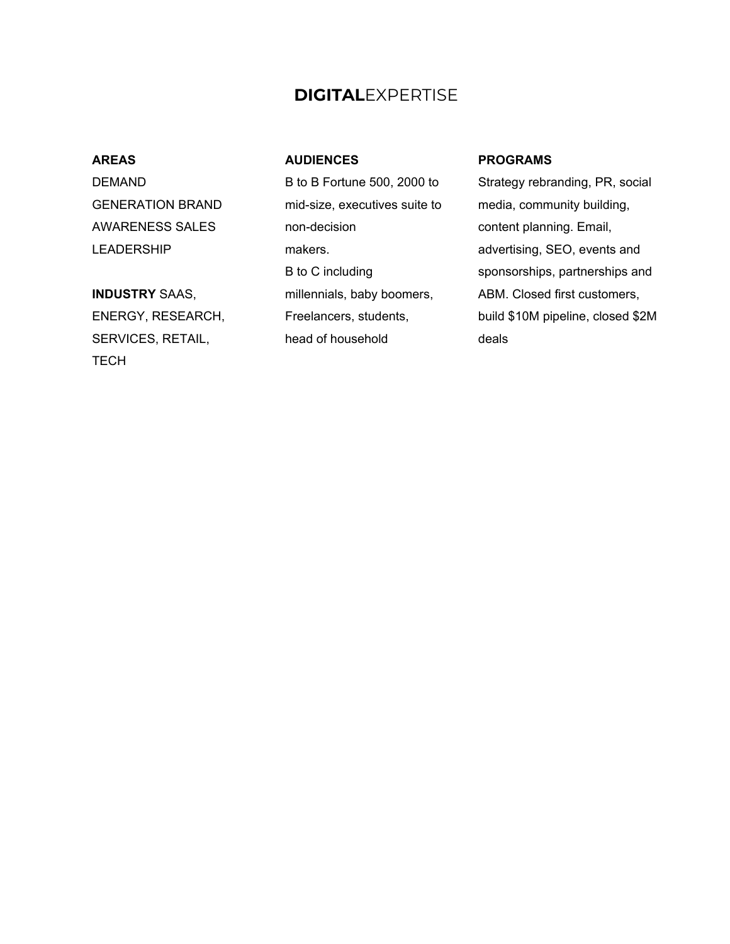### **DIGITAL**EXPERTISE

#### **AREAS**

DEMAND GENERATION BRAND AWARENESS SALES LEADERSHIP

#### **INDUSTRY** SAAS,

ENERGY, RESEARCH, SERVICES, RETAIL, **TECH** 

#### **AUDIENCES**

B to B Fortune 500, 2000 to mid-size, executives suite to non-decision makers. B to C including millennials, baby boomers, Freelancers, students, head of household

#### **PROGRAMS**

Strategy rebranding, PR, social media, community building, content planning. Email, advertising, SEO, events and sponsorships, partnerships and ABM. Closed first customers, build \$10M pipeline, closed \$2M deals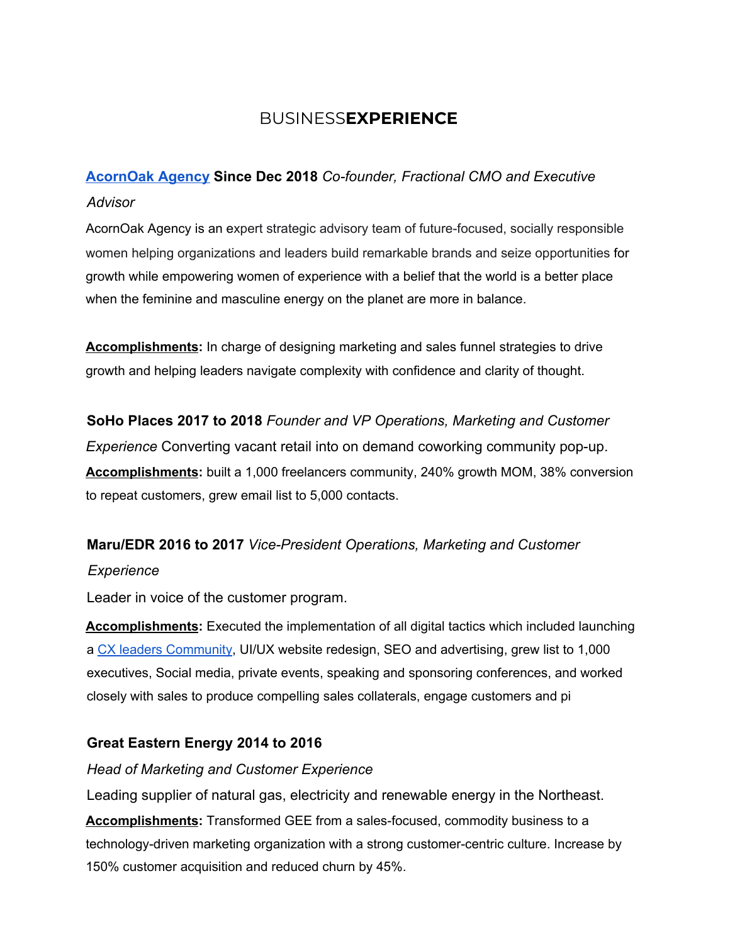# BUSINESS**EXPERIENCE**

# **[AcornOak Agency](http://www.acornoak.net/) Since Dec 2018** *Co-founder, Fractional CMO and Executive Advisor*

AcornOak Agency is an expert strategic advisory team of future-focused, socially responsible women helping organizations and leaders build remarkable brands and seize opportunities for growth while empowering women of experience with a belief that the world is a better place when the feminine and masculine energy on the planet are more in balance.

**Accomplishments:** In charge of designing marketing and sales funnel strategies to drive growth and helping leaders navigate complexity with confidence and clarity of thought.

### **SoHo Places 2017 to 2018** *Founder and VP Operations, Marketing and Customer*

*Experience* Converting vacant retail into on demand coworking community pop-up. **Accomplishments:** built a 1,000 freelancers community, 240% growth MOM, 38% conversion to repeat customers, grew email list to 5,000 contacts.

### **Maru/EDR 2016 to 2017** *Vice-President Operations, Marketing and Customer*

### *Experience*

Leader in voice of the customer program.

**Accomplishments:** Executed the implementation of all digital tactics which included launching a CX leaders Community, UI/UX website redesign, SEO and advertising, grew list to 1,000 executives, Social media, private events, speaking and sponsoring conferences, and worked closely with sales to produce compelling sales collaterals, engage customers and pi

### **Great Eastern Energy 2014 to 2016**

### *Head of Marketing and Customer Experience*

Leading supplier of natural gas, electricity and renewable energy in the Northeast. **Accomplishments:** Transformed GEE from a sales-focused, commodity business to a technology-driven marketing organization with a strong customer-centric culture. Increase by 150% customer acquisition and reduced churn by 45%.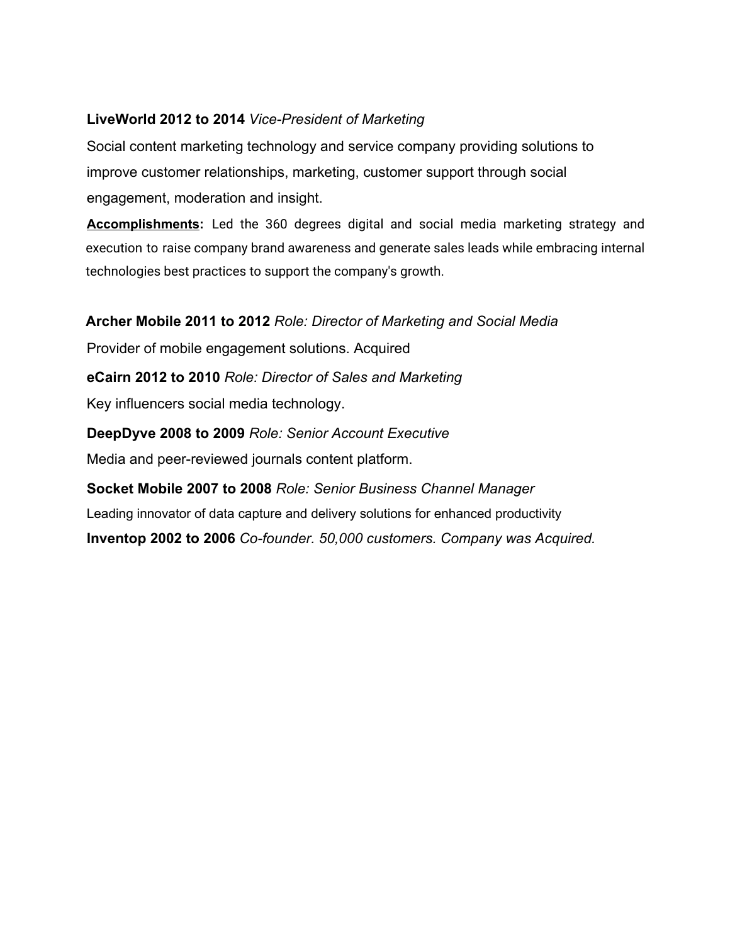### **LiveWorld 2012 to 2014** *Vice-President of Marketing*

Social content marketing technology and service company providing solutions to improve customer relationships, marketing, customer support through social engagement, moderation and insight.

**Accomplishments:** Led the 360 degrees digital and social media marketing strategy and execution to raise company brand awareness and generate sales leads while embracing internal technologies best practices to support the company's growth.

**Archer Mobile 2011 to 2012** *Role: Director of Marketing and Social Media*

Provider of mobile engagement solutions. Acquired

**eCairn 2012 to 2010** *Role: Director of Sales and Marketing*

Key influencers social media technology.

**DeepDyve 2008 to 2009** *Role: Senior Account Executive* Media and peer-reviewed journals content platform.

**Socket Mobile 2007 to 2008** *Role: Senior Business Channel Manager* Leading innovator of data capture and delivery solutions for enhanced productivity **Inventop 2002 to 2006** *Co-founder. 50,000 customers. Company was Acquired.*